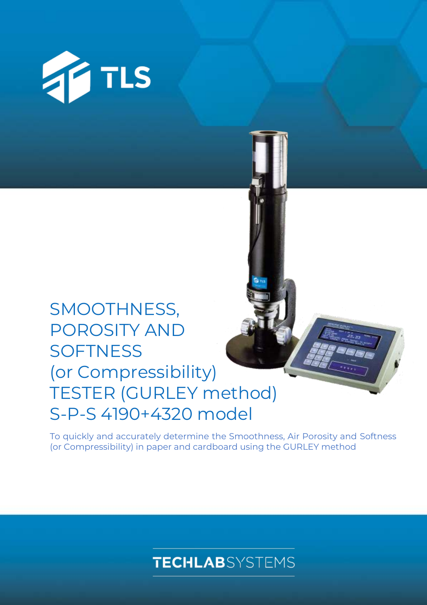

# SMOOTHNESS, POROSITY AND **SOFTNESS** (or Compressibility) TESTER (GURLEY method) S-P-S 4190+4320 model

To quickly and accurately determine the Smoothness, Air Porosity and Softness (or Compressibility) in paper and cardboard using the GURLEY method

## **TECHLAB**SYSTEMS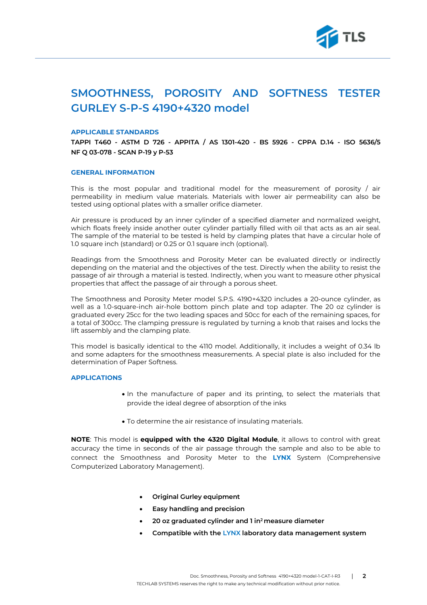

### **SMOOTHNESS, POROSITY AND SOFTNESS TESTER GURLEY S-P-S 4190+4320 model**

### **APPLICABLE STANDARDS**

**TAPPI T460 - ASTM D 726 - APPITA / AS 1301-420 - BS 5926 - CPPA D.14 - ISO 5636/5 NF Q 03-078 - SCAN P-19 y P-53**

#### **GENERAL INFORMATION**

This is the most popular and traditional model for the measurement of porosity / air permeability in medium value materials. Materials with lower air permeability can also be tested using optional plates with a smaller orifice diameter.

Air pressure is produced by an inner cylinder of a specified diameter and normalized weight, which floats freely inside another outer cylinder partially filled with oil that acts as an air seal. The sample of the material to be tested is held by clamping plates that have a circular hole of 1.0 square inch (standard) or 0.25 or 0.1 square inch (optional).

Readings from the Smoothness and Porosity Meter can be evaluated directly or indirectly depending on the material and the objectives of the test. Directly when the ability to resist the passage of air through a material is tested. Indirectly, when you want to measure other physical properties that affect the passage of air through a porous sheet.

The Smoothness and Porosity Meter model S.P.S. 4190+4320 includes a 20-ounce cylinder, as well as a 1.0-square-inch air-hole bottom pinch plate and top adapter. The 20 oz cylinder is graduated every 25cc for the two leading spaces and 50cc for each of the remaining spaces, for a total of 300cc. The clamping pressure is regulated by turning a knob that raises and locks the lift assembly and the clamping plate.

This model is basically identical to the 4110 model. Additionally, it includes a weight of 0.34 lb and some adapters for the smoothness measurements. A special plate is also included for the determination of Paper Softness.

### **APPLICATIONS**

- In the manufacture of paper and its printing, to select the materials that provide the ideal degree of absorption of the inks
- To determine the air resistance of insulating materials.

**NOTE**: This model is **equipped with the 4320 Digital Module**, it allows to control with great accuracy the time in seconds of the air passage through the sample and also to be able to connect the Smoothness and Porosity Meter to the **LYNX** System (Comprehensive Computerized Laboratory Management).

- **Original Gurley equipment**
- **Easy handling and precision**
- **20 oz graduated cylinder and 1 in<sup>2</sup>measure diameter**
- **Compatible with the LYNX laboratory data management system**